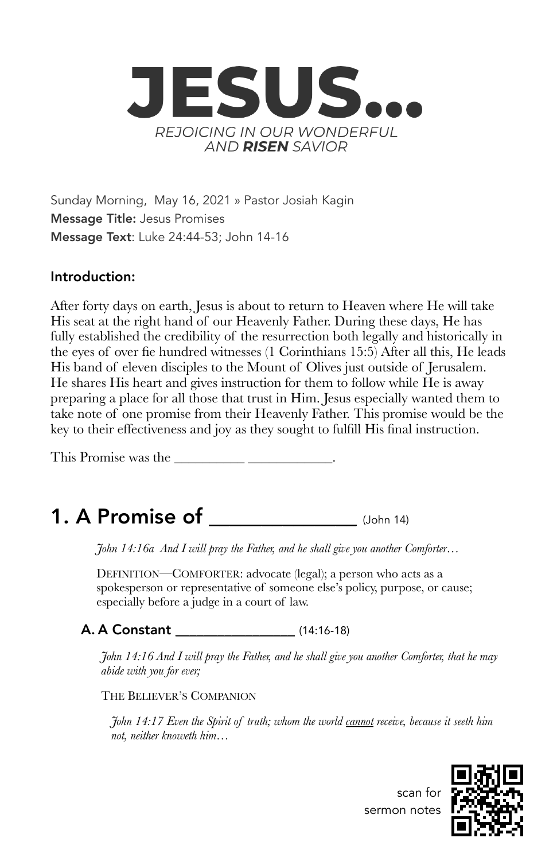

Sunday Morning, May 16, 2021 » Pastor Josiah Kagin Message Title: Jesus Promises Message Text: Luke 24:44-53; John 14-16

### Introduction:

After forty days on earth, Jesus is about to return to Heaven where He will take His seat at the right hand of our Heavenly Father. During these days, He has fully established the credibility of the resurrection both legally and historically in the eyes of over fie hundred witnesses (1 Corinthians 15:5) After all this, He leads His band of eleven disciples to the Mount of Olives just outside of Jerusalem. He shares His heart and gives instruction for them to follow while He is away preparing a place for all those that trust in Him. Jesus especially wanted them to take note of one promise from their Heavenly Father. This promise would be the key to their effectiveness and joy as they sought to fulfill His final instruction.

This Promise was the **\_\_\_\_\_\_\_\_\_\_ \_\_\_\_\_\_\_\_\_\_\_\_**.

# **1. A Promise of**  $_{(John 14)}$

*John 14:16a And I will pray the Father, and he shall give you another Comforter…*

DEFINITION—COMFORTER: advocate (legal); a person who acts as a spokesperson or representative of someone else's policy, purpose, or cause; especially before a judge in a court of law.

### A. A Constant \_\_\_\_\_\_\_\_\_\_\_\_\_\_\_\_\_ (14:16-18)

*John 14:16 And I will pray the Father, and he shall give you another Comforter, that he may abide with you for ever;*

THE BELIEVER'S COMPANION

*John 14:17 Even the Spirit of truth; whom the world cannot receive, because it seeth him not, neither knoweth him…*



scan for sermon notes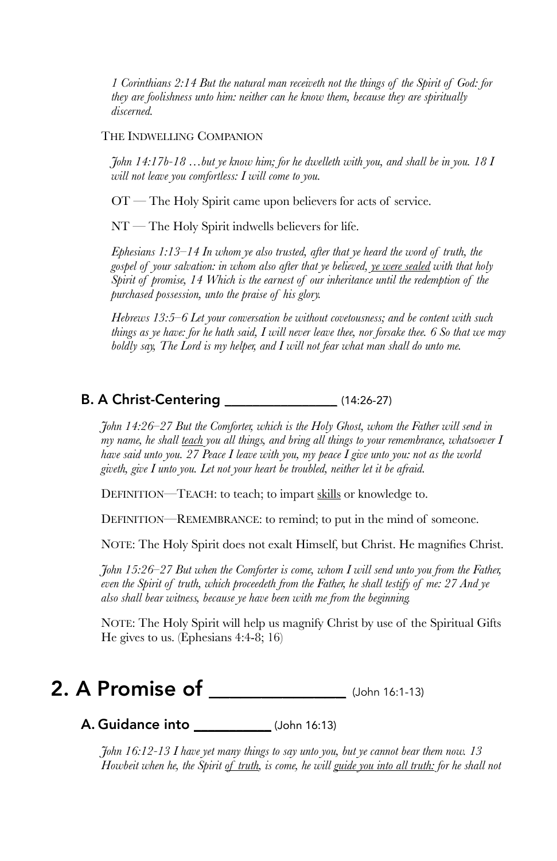*1 Corinthians 2:14 But the natural man receiveth not the things of the Spirit of God: for they are foolishness unto him: neither can he know them, because they are spiritually discerned.*

#### THE INDWELLING COMPANION

*John 14:17b-18 …but ye know him; for he dwelleth with you, and shall be in you. 18 I will not leave you comfortless: I will come to you.*

OT — The Holy Spirit came upon believers for acts of service.

NT — The Holy Spirit indwells believers for life.

*Ephesians 1:13–14 In whom ye also trusted, after that ye heard the word of truth, the gospel of your salvation: in whom also after that ye believed, ye were sealed with that holy Spirit of promise, 14 Which is the earnest of our inheritance until the redemption of the purchased possession, unto the praise of his glory.*

*Hebrews 13:5–6 Let your conversation be without covetousness; and be content with such things as ye have: for he hath said, I will never leave thee, nor forsake thee. 6 So that we may boldly say, The Lord is my helper, and I will not fear what man shall do unto me.*

#### B. A Christ-Centering \_\_\_\_\_\_\_\_\_\_\_\_\_\_\_\_ (14:26-27)

*John 14:26–27 But the Comforter, which is the Holy Ghost, whom the Father will send in my name, he shall teach you all things, and bring all things to your remembrance, whatsoever I have said unto you. 27 Peace I leave with you, my peace I give unto you: not as the world giveth, give I unto you. Let not your heart be troubled, neither let it be afraid.*

DEFINITION—TEACH: to teach; to impart skills or knowledge to.

DEFINITION—REMEMBRANCE: to remind; to put in the mind of someone.

NOTE: The Holy Spirit does not exalt Himself, but Christ. He magnifies Christ.

*John 15:26–27 But when the Comforter is come, whom I will send unto you from the Father, even the Spirit of truth, which proceedeth from the Father, he shall testify of me: 27 And ye also shall bear witness, because ye have been with me from the beginning.*

NOTE: The Holy Spirit will help us magnify Christ by use of the Spiritual Gifts He gives to us. (Ephesians 4:4-8; 16)

### 2. A Promise of \_\_\_\_\_\_\_\_\_\_\_\_\_\_\_\_\_(John 16:1-13)

A. Guidance into \_\_\_\_\_\_\_\_\_\_\_ (John 16:13)

*John 16:12-13 I have yet many things to say unto you, but ye cannot bear them now. 13 Howbeit when he, the Spirit of truth, is come, he will guide you into all truth: for he shall not*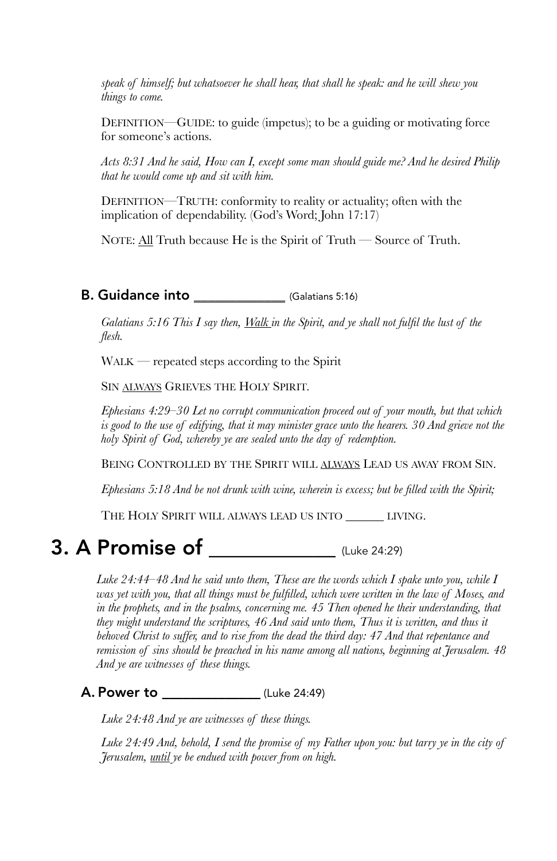*speak of himself; but whatsoever he shall hear, that shall he speak: and he will shew you things to come.*

DEFINITION—GUIDE: to guide (impetus); to be a guiding or motivating force for someone's actions.

*Acts 8:31 And he said, How can I, except some man should guide me? And he desired Philip that he would come up and sit with him.*

DEFINITION—TRUTH: conformity to reality or actuality; often with the implication of dependability. (God's Word; John 17:17)

NOTE: All Truth because He is the Spirit of Truth — Source of Truth.

#### **B. Guidance into** (Galatians 5:16)

*Galatians 5:16 This I say then, Walk in the Spirit, and ye shall not fulfil the lust of the flesh.*

WALK — repeated steps according to the Spirit

SIN ALWAYS GRIEVES THE HOLY SPIRIT*.*

*Ephesians 4:29–30 Let no corrupt communication proceed out of your mouth, but that which*  is good to the use of edifying, that it may minister grace unto the hearers. 30 And grieve not the *holy Spirit of God, whereby ye are sealed unto the day of redemption.*

BEING CONTROLLED BY THE SPIRIT WILL ALWAYS LEAD US AWAY FROM SIN.

*Ephesians 5:18 And be not drunk with wine, wherein is excess; but be filled with the Spirit;*

THE HOLY SPIRIT WILL ALWAYS LEAD US INTO \_\_\_\_\_\_ LIVING.

## 3. A Promise of \_\_\_\_\_\_\_\_\_\_\_\_ (Luke 24:29)

*Luke 24:44–48 And he said unto them, These are the words which I spake unto you, while I was yet with you, that all things must be fulfilled, which were written in the law of Moses, and in the prophets, and in the psalms, concerning me. 45 Then opened he their understanding, that they might understand the scriptures, 46 And said unto them, Thus it is written, and thus it behoved Christ to suffer, and to rise from the dead the third day: 47 And that repentance and remission of sins should be preached in his name among all nations, beginning at Jerusalem. 48 And ye are witnesses of these things.*

A. Power to \_\_\_\_\_\_\_\_\_\_\_\_\_\_ (Luke 24:49)

*Luke 24:48 And ye are witnesses of these things.*

*Luke 24:49 And, behold, I send the promise of my Father upon you: but tarry ye in the city of Jerusalem, until ye be endued with power from on high.*